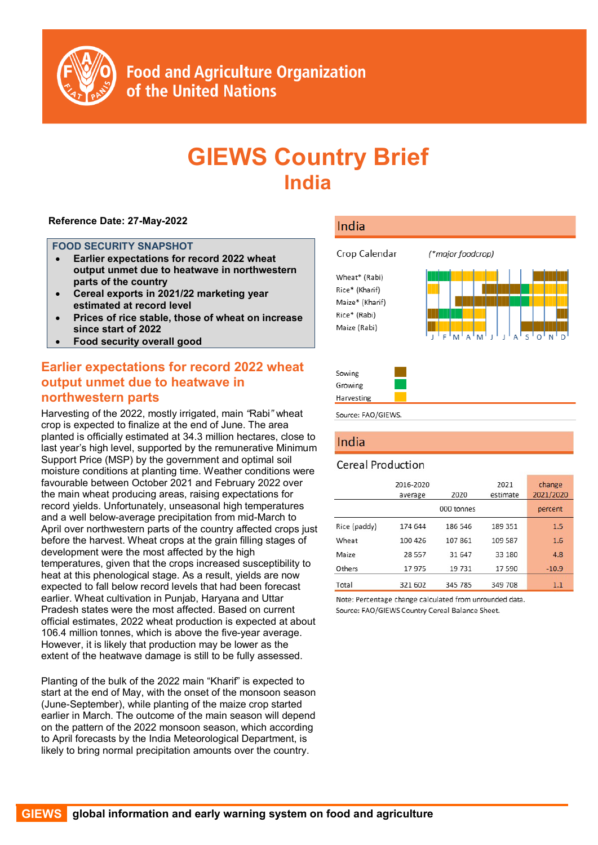

**Food and Agriculture Organization** of the United Nations

# **GIEWS Country Brief India**

#### **Reference Date: 27-May-2022**

#### **FOOD SECURITY SNAPSHOT**

- **Earlier expectations for record 2022 wheat output unmet due to heatwave in northwestern parts of the country**
- **Cereal exports in 2021/22 marketing year estimated at record level**
- **Prices of rice stable, those of wheat on increase since start of 2022**
- **Food security overall good**

# **Earlier expectations for record 2022 wheat output unmet due to heatwave in northwestern parts**

Harvesting of the 2022, mostly irrigated, main *"*Rabi*"* wheat crop is expected to finalize at the end of June. The area planted is officially estimated at 34.3 million hectares, close to last year's high level, supported by the remunerative Minimum Support Price (MSP) by the government and optimal soil moisture conditions at planting time. Weather conditions were favourable between October 2021 and February 2022 over the main wheat producing areas, raising expectations for record yields. Unfortunately, unseasonal high temperatures and a well below-average precipitation from mid-March to April over northwestern parts of the country affected crops just before the harvest. Wheat crops at the grain filling stages of development were the most affected by the high temperatures, given that the crops increased susceptibility to heat at this phenological stage. As a result, yields are now expected to fall below record levels that had been forecast earlier. Wheat cultivation in Punjab, Haryana and Uttar Pradesh states were the most affected. Based on current official estimates, 2022 wheat production is expected at about 106.4 million tonnes, which is above the five-year average. However, it is likely that production may be lower as the extent of the heatwave damage is still to be fully assessed.

Planting of the bulk of the 2022 main "Kharif" is expected to start at the end of May, with the onset of the monsoon season (June-September), while planting of the maize crop started earlier in March. The outcome of the main season will depend on the pattern of the 2022 monsoon season, which according to April forecasts by the India Meteorological Department, is likely to bring normal precipitation amounts over the country.

## India



Harvesting

Source: FAO/GIEWS.

# India

## **Cereal Production**

|              | 2016-2020<br>average | 2020       | 2021<br>estimate | change<br>2021/2020 |
|--------------|----------------------|------------|------------------|---------------------|
|              |                      | 000 tonnes |                  | percent             |
| Rice (paddy) | 174 644              | 186 546    | 189 351          | 1.5                 |
| Wheat        | 100 426              | 107861     | 109 587          | 1.6                 |
| Maize        | 28 5 5 7             | 31 647     | 33 180           | 4.8                 |
| Others       | 17975                | 19731      | 17 590           | $-10.9$             |
| Total        | 321 602              | 345 785    | 349 708          | 1.1                 |

Note: Percentage change calculated from unrounded data. Source: FAO/GIEWS Country Cereal Balance Sheet.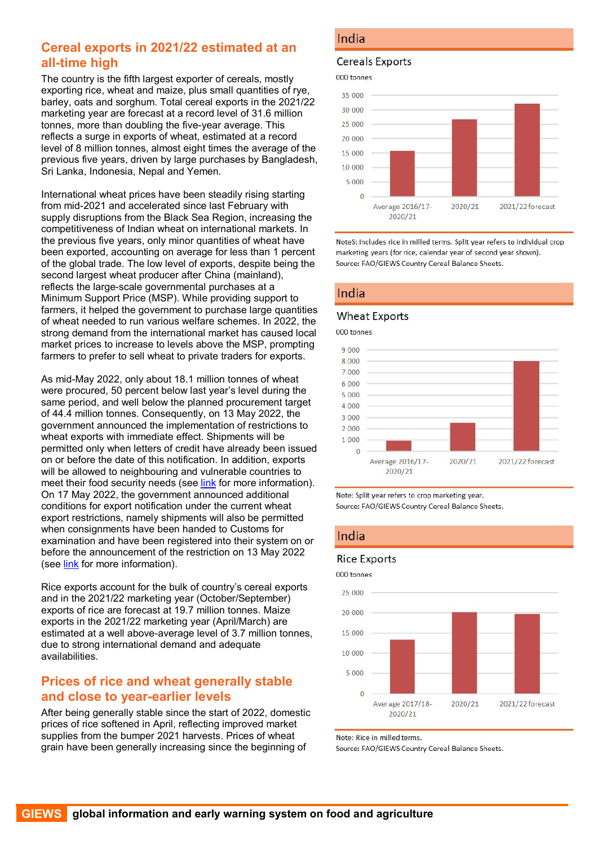# **Cereal exports in 2021/22 estimated at an all-time high**

The country is the fifth largest exporter of cereals, mostly exporting rice, wheat and maize, plus small quantities of rye, barley, oats and sorghum. Total cereal exports in the 2021/22 marketing year are forecast at a record level of 31.6 million tonnes, more than doubling the five-year average. This reflects a surge in exports of wheat, estimated at a record level of 8 million tonnes, almost eight times the average of the previous five years, driven by large purchases by Bangladesh, Sri Lanka, Indonesia, Nepal and Yemen.

International wheat prices have been steadily rising starting from mid-2021 and accelerated since last February with supply disruptions from the Black Sea Region, increasing the competitiveness of Indian wheat on international markets. In the previous five years, only minor quantities of wheat have been exported, accounting on average for less than 1 percent of the global trade. The low level of exports, despite being the second largest wheat producer after China (mainland), reflects the large-scale governmental purchases at a Minimum Support Price (MSP). While providing support to farmers, it helped the government to purchase large quantities of wheat needed to run various welfare schemes. In 2022, the strong demand from the international market has caused local market prices to increase to levels above the MSP, prompting farmers to prefer to sell wheat to private traders for exports.

As mid-May 2022, only about 18.1 million tonnes of wheat were procured, 50 percent below last year's level during the same period, and well below the planned procurement target of 44.4 million tonnes. Consequently, on 13 May 2022, the government announced the implementation of restrictions to wheat exports with immediate effect. Shipments will be permitted only when letters of credit have already been issued on or before the date of this notification. In addition, exports will be allowed to neighbouring and vulnerable countries to meet their food security needs (see [link](https://content.dgft.gov.in/Website/dgftprod/9032ac12-29a8-4a67-8e3b-bd0dc07c39a5/Noti%2006%20Eng.pdf) for more information). On 17 May 2022, the government announced additional conditions for export notification under the current wheat export restrictions, namely shipments will also be permitted when consignments have been handed to Customs for examination and have been registered into their system on or before the announcement of the restriction on 13 May 2022 (see [link](https://www.pib.gov.in/PressReleasePage.aspx?PRID=1825991) for more information).

Rice exports account for the bulk of country's cereal exports and in the 2021/22 marketing year (October/September) exports of rice are forecast at 19.7 million tonnes. Maize exports in the 2021/22 marketing year (April/March) are estimated at a well above-average level of 3.7 million tonnes, due to strong international demand and adequate availabilities.

# **Prices of rice and wheat generally stable and close to year-earlier levels**

After being generally stable since the start of 2022, domestic prices of rice softened in April, reflecting improved market supplies from the bumper 2021 harvests. Prices of wheat grain have been generally increasing since the beginning of

## India

#### **Cereals Exports**

000 tonnes



NoteS: Includes rice in milled terms. Split year refers to individual crop marketing years (for rice, calendar year of second year shown). Source: FAO/GIEWS Country Cereal Balance Sheets.

## India

#### **Wheat Exports**

000 tonnes





## India

#### **Rice Exports**



Note: Rice in milled terms.

Source: FAO/GIEWS Country Cereal Balance Sheets.